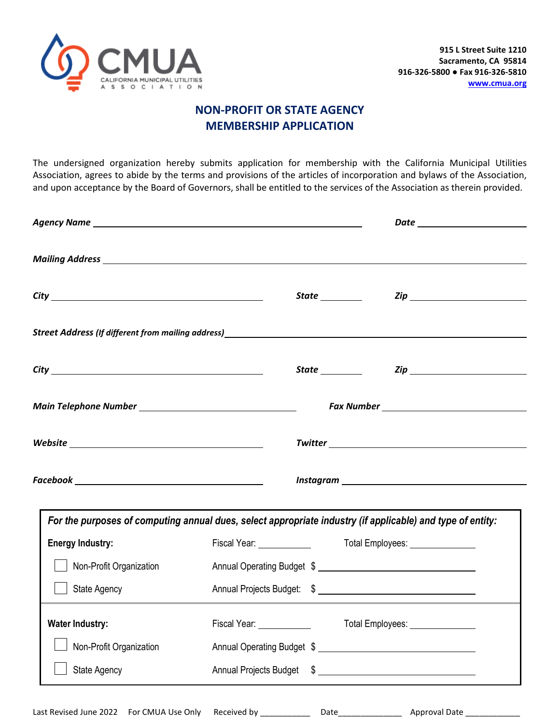

## **NON-PROFIT OR STATE AGENCY MEMBERSHIP APPLICATION**

The undersigned organization hereby submits application for membership with the California Municipal Utilities Association, agrees to abide by the terms and provisions of the articles of incorporation and bylaws of the Association, and upon acceptance by the Board of Governors, shall be entitled to the services of the Association as therein provided.

|                                                                                                                                                                                                                                                                                                                                                                                                                                                                                                                                                       | State __________                                                                                           |  |
|-------------------------------------------------------------------------------------------------------------------------------------------------------------------------------------------------------------------------------------------------------------------------------------------------------------------------------------------------------------------------------------------------------------------------------------------------------------------------------------------------------------------------------------------------------|------------------------------------------------------------------------------------------------------------|--|
|                                                                                                                                                                                                                                                                                                                                                                                                                                                                                                                                                       | Street Address (If different from mailing address)<br>Street Address (If different from mailing address)   |  |
|                                                                                                                                                                                                                                                                                                                                                                                                                                                                                                                                                       |                                                                                                            |  |
|                                                                                                                                                                                                                                                                                                                                                                                                                                                                                                                                                       |                                                                                                            |  |
|                                                                                                                                                                                                                                                                                                                                                                                                                                                                                                                                                       |                                                                                                            |  |
| $\textit{Facebook} \underline{\hspace{2.5cm}} \underline{\hspace{2.5cm}} \qquad \qquad \underline{\hspace{2.5cm}} \qquad \qquad \underline{\hspace{2.5cm}} \qquad \qquad \underline{\hspace{2.5cm}} \qquad \qquad \underline{\hspace{2.5cm}} \qquad \qquad \underline{\hspace{2.5cm}} \qquad \qquad \underline{\hspace{2.5cm}} \qquad \qquad \underline{\hspace{2.5cm}} \qquad \qquad \underline{\hspace{2.5cm}} \qquad \qquad \underline{\hspace{2.5cm}} \qquad \qquad \underline{\hspace{2.5cm}} \qquad \qquad \underline{\hspace{2.5cm}} \qquad \$ |                                                                                                            |  |
|                                                                                                                                                                                                                                                                                                                                                                                                                                                                                                                                                       | For the purposes of computing annual dues, select appropriate industry (if applicable) and type of entity: |  |
| <b>Energy Industry:</b>                                                                                                                                                                                                                                                                                                                                                                                                                                                                                                                               |                                                                                                            |  |
| Non-Profit Organization                                                                                                                                                                                                                                                                                                                                                                                                                                                                                                                               |                                                                                                            |  |
| State Agency                                                                                                                                                                                                                                                                                                                                                                                                                                                                                                                                          |                                                                                                            |  |
| <b>Water Industry:</b>                                                                                                                                                                                                                                                                                                                                                                                                                                                                                                                                | Fiscal Year: _______________    Total Employees: ________________                                          |  |
|                                                                                                                                                                                                                                                                                                                                                                                                                                                                                                                                                       |                                                                                                            |  |
| Non-Profit Organization                                                                                                                                                                                                                                                                                                                                                                                                                                                                                                                               |                                                                                                            |  |

Last Revised June 2022 For CMUA Use Only Received by \_\_\_\_\_\_\_\_\_\_\_\_\_ Date\_\_\_\_\_\_\_\_\_\_\_\_\_\_\_\_ Approval Date \_\_